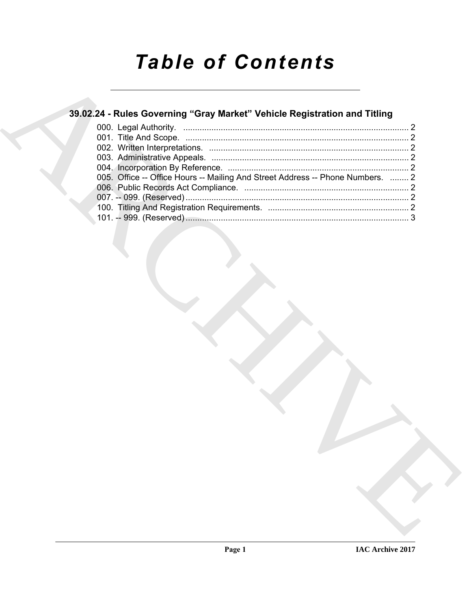# *Table of Contents*

# **39.02.24 - Rules Governing "Gray Market" Vehicle Registration and Titling**

| 39.02.24 - Rules Governing "Gray Market" Vehicle Registration and Titling      |  |
|--------------------------------------------------------------------------------|--|
|                                                                                |  |
|                                                                                |  |
|                                                                                |  |
| 005. Office -- Office Hours -- Mailing And Street Address -- Phone Numbers.  2 |  |
|                                                                                |  |
|                                                                                |  |
|                                                                                |  |
|                                                                                |  |
|                                                                                |  |
|                                                                                |  |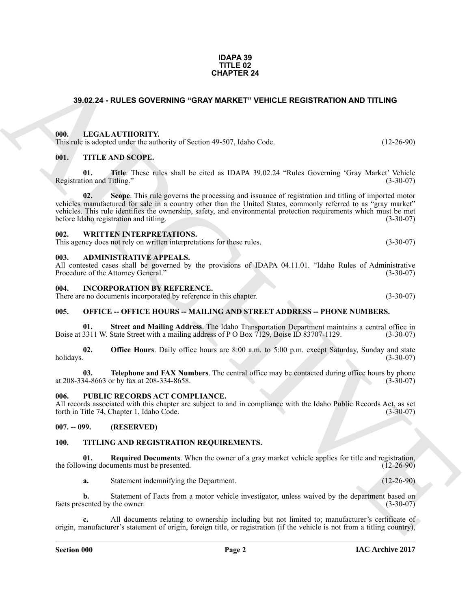### **IDAPA 39 TITLE 02 CHAPTER 24**

# <span id="page-1-0"></span>**39.02.24 - RULES GOVERNING "GRAY MARKET" VEHICLE REGISTRATION AND TITLING**

# <span id="page-1-1"></span>**000. LEGAL AUTHORITY.**

This rule is adopted under the authority of Section 49-507, Idaho Code. (12-26-90)

# <span id="page-1-2"></span>**001. TITLE AND SCOPE.**

**01.** Title. These rules shall be cited as IDAPA 39.02.24 "Rules Governing 'Gray Market' Vehicle tion and Titling." (3-30-07) Registration and Titling."

**CHAPTER 24**<br>
33.02.24 - RULES GOVERNING "GRAY MARKET" VEHICLE REGISTRATION AND TITLING<br>
100. LECAL AUTHORITY, which of Section 49.507, Idaso Code.<br>
11.2 26.93)<br>
100. LETHE AND SCOPE.<br>
100. LETHE AND SCOPE.<br>
100. LETHE AN **02.** Scope. This rule governs the processing and issuance of registration and titling of imported motor vehicles manufactured for sale in a country other than the United States, commonly referred to as "gray market" vehicles. This rule identifies the ownership, safety, and environmental protection requirements which must be met<br>before Idaho registration and titling. (3-30-07) before Idaho registration and titling.

# <span id="page-1-3"></span>**002. WRITTEN INTERPRETATIONS.**

This agency does not rely on written interpretations for these rules. (3-30-07)

### <span id="page-1-4"></span>**003. ADMINISTRATIVE APPEALS.**

All contested cases shall be governed by the provisions of IDAPA 04.11.01. "Idaho Rules of Administrative Procedure of the Attorney General." (3-30-07) Procedure of the Attorney General."

### <span id="page-1-5"></span>**004. INCORPORATION BY REFERENCE.**

There are no documents incorporated by reference in this chapter. (3-30-07)

# <span id="page-1-6"></span>**005. OFFICE -- OFFICE HOURS -- MAILING AND STREET ADDRESS -- PHONE NUMBERS.**

**01. Street and Mailing Address**. The Idaho Transportation Department maintains a central office in 3311 W. State Street with a mailing address of P O Box 7129, Boise ID 83707-1129. (3-30-07) Boise at 3311 W. State Street with a mailing address of P O Box 7129, Boise ID 83707-1129.

**02. Office Hours**. Daily office hours are 8:00 a.m. to 5:00 p.m. except Saturday, Sunday and state holidays. (3-30-07) holidays. (3-30-07)

**03. Telephone and FAX Numbers**. The central office may be contacted during office hours by phone 34-8663 or by fax at 208-334-8658. at 208-334-8663 or by fax at 208-334-8658.

# <span id="page-1-7"></span>**006. PUBLIC RECORDS ACT COMPLIANCE.**

All records associated with this chapter are subject to and in compliance with the Idaho Public Records Act, as set forth in Title 74, Chapter 1, Idaho Code. (3-30-07) forth in Title 74, Chapter 1, Idaho Code.

# <span id="page-1-8"></span>**007. -- 099. (RESERVED)**

# <span id="page-1-10"></span><span id="page-1-9"></span>**100. TITLING AND REGISTRATION REQUIREMENTS.**

**01.** Required Documents. When the owner of a gray market vehicle applies for title and registration, wing documents must be presented. the following documents must be presented.

<span id="page-1-11"></span>**a.** Statement indemnifying the Department. (12-26-90)

**b.** Statement of Facts from a motor vehicle investigator, unless waived by the department based on sented by the owner. (3-30-07) facts presented by the owner.

**c.** All documents relating to ownership including but not limited to; manufacturer's certificate of origin, manufacturer's statement of origin, foreign title, or registration (if the vehicle is not from a titling country),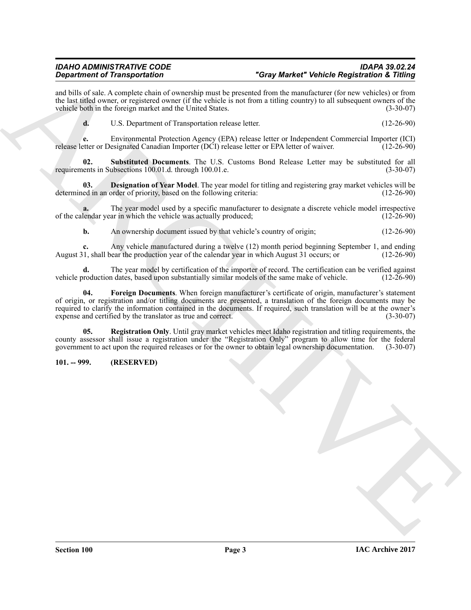# *IDAHO ADMINISTRATIVE CODE IDAPA 39.02.24*

# *Department of Transportation "Gray Market" Vehicle Registration & Titling*

and bills of sale. A complete chain of ownership must be presented from the manufacturer (for new vehicles) or from the last titled owner, or registered owner (if the vehicle is not from a titling country) to all subsequent owners of the vehicle both in the foreign market and the United States. (3-30-07) vehicle both in the foreign market and the United States.

<span id="page-2-4"></span>**d.** U.S. Department of Transportation release letter. (12-26-90)

**e.** Environmental Protection Agency (EPA) release letter or Independent Commercial Importer (ICI) release letter or EPA letter of waiver. (12-26-90) release letter or Designated Canadian Importer (DCI) release letter or EPA letter of waiver.

**Substituted Documents**. The U.S. Customs Bond Release Letter may be substituted for all ubsections 100.01.d. through 100.01.e. requirements in Subsections 100.01.d. through 100.01.e.

<span id="page-2-1"></span>**03. Designation of Year Model**. The year model for titling and registering gray market vehicles will be ed in an order of priority, based on the following criteria: (12-26-90) determined in an order of priority, based on the following criteria:

**a.** The year model used by a specific manufacturer to designate a discrete vehicle model irrespective lendar year in which the vehicle was actually produced; (12-26-90) of the calendar year in which the vehicle was actually produced;

**b.** An ownership document issued by that vehicle's country of origin; (12-26-90)

Any vehicle manufactured during a twelve (12) month period beginning September 1, and ending ear the production year of the calendar year in which August 31 occurs; or (12-26-90) August 31, shall bear the production year of the calendar year in which August 31 occurs; or

<span id="page-2-2"></span>**d.** The year model by certification of the importer of record. The certification can be verified against roduction dates, based upon substantially similar models of the same make of vehicle. (12-26-90) vehicle production dates, based upon substantially similar models of the same make of vehicle.

**Considerably the consequence of the state of the state of the state of the state of the state of the state of the state of the state of the state of the state of the state of the state of the state of the state of the st 04. Foreign Documents**. When foreign manufacturer's certificate of origin, manufacturer's statement of origin, or registration and/or titling documents are presented, a translation of the foreign documents may be required to clarify the information contained in the documents. If required, such translation will be at the owner's expense and certified by the translator as true and correct. (3-30-07)

<span id="page-2-3"></span>**05. Registration Only**. Until gray market vehicles meet Idaho registration and titling requirements, the county assessor shall issue a registration under the "Registration Only" program to allow time for the federal government to act upon the required releases or for the owner to obtain legal ownership documentation. (3-30-07)

# <span id="page-2-0"></span>**101. -- 999. (RESERVED)**